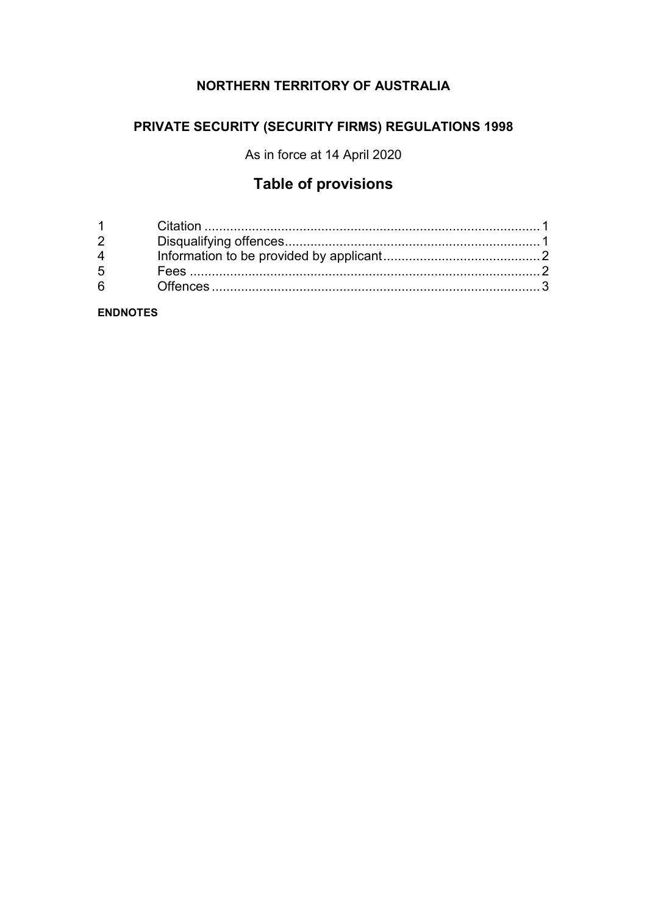# **NORTHERN TERRITORY OF AUSTRALIA**

## **PRIVATE SECURITY (SECURITY FIRMS) REGULATIONS 1998**

As in force at 14 April 2020

# **Table of provisions**

| $2^{\circ}$        |  |
|--------------------|--|
| $\mathbf{\Lambda}$ |  |
| $5^{\circ}$        |  |
| $6 -$              |  |

**ENDNOTES**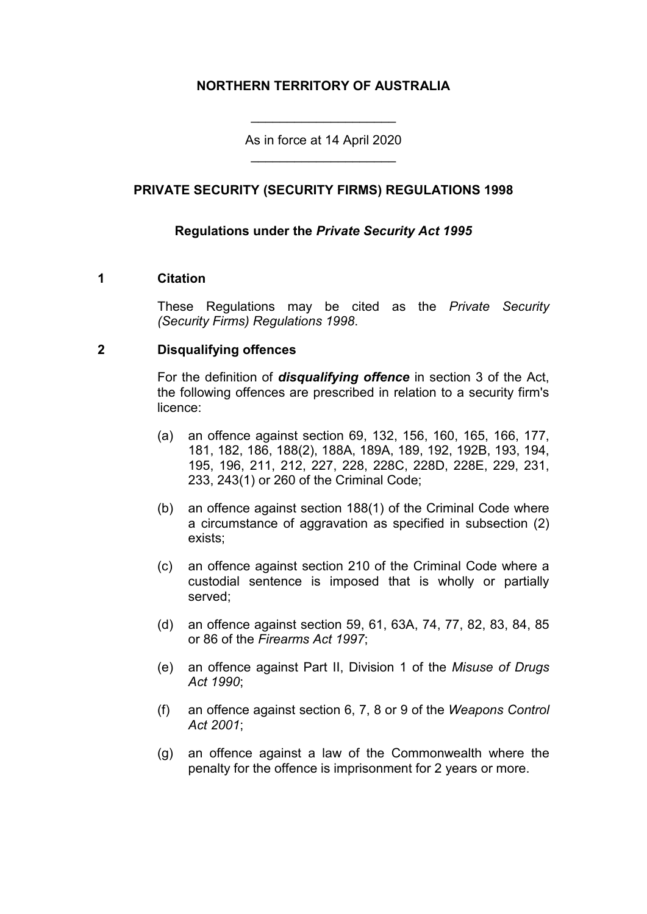## **NORTHERN TERRITORY OF AUSTRALIA**

As in force at 14 April 2020 \_\_\_\_\_\_\_\_\_\_\_\_\_\_\_\_\_\_\_\_

\_\_\_\_\_\_\_\_\_\_\_\_\_\_\_\_\_\_\_\_

## **PRIVATE SECURITY (SECURITY FIRMS) REGULATIONS 1998**

### **Regulations under the** *Private Security Act 1995*

#### **1 Citation**

These Regulations may be cited as the *Private Security (Security Firms) Regulations 1998*.

### **2 Disqualifying offences**

For the definition of *disqualifying offence* in section 3 of the Act, the following offences are prescribed in relation to a security firm's licence:

- (a) an offence against section 69, 132, 156, 160, 165, 166, 177, 181, 182, 186, 188(2), 188A, 189A, 189, 192, 192B, 193, 194, 195, 196, 211, 212, 227, 228, 228C, 228D, 228E, 229, 231, 233, 243(1) or 260 of the Criminal Code;
- (b) an offence against section 188(1) of the Criminal Code where a circumstance of aggravation as specified in subsection (2) exists;
- (c) an offence against section 210 of the Criminal Code where a custodial sentence is imposed that is wholly or partially served;
- (d) an offence against section 59, 61, 63A, 74, 77, 82, 83, 84, 85 or 86 of the *Firearms Act 1997*;
- (e) an offence against Part II, Division 1 of the *Misuse of Drugs Act 1990*;
- (f) an offence against section 6, 7, 8 or 9 of the *Weapons Control Act 2001*;
- (g) an offence against a law of the Commonwealth where the penalty for the offence is imprisonment for 2 years or more.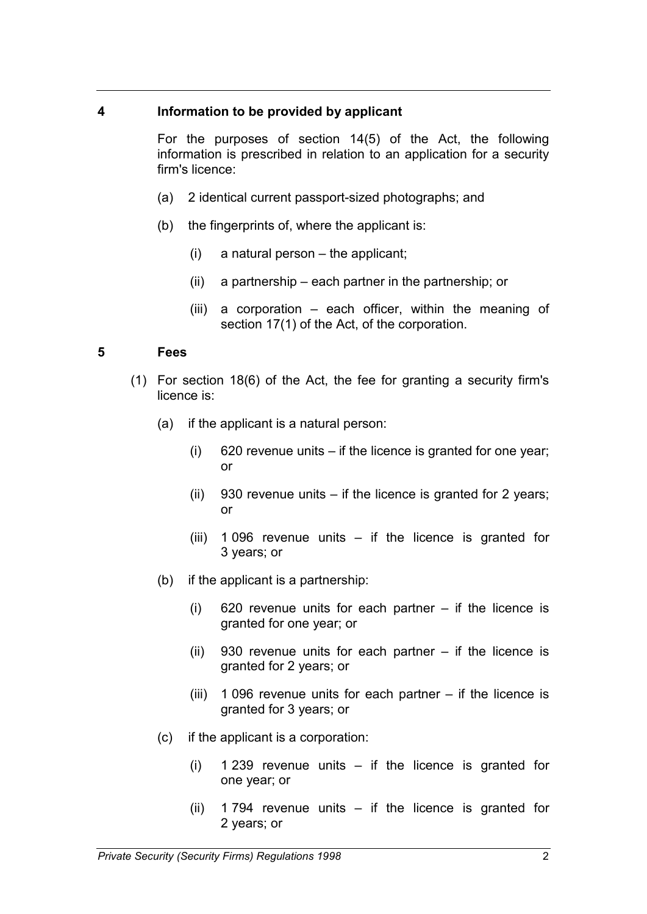## **4 Information to be provided by applicant**

For the purposes of section 14(5) of the Act, the following information is prescribed in relation to an application for a security firm's licence:

- (a) 2 identical current passport-sized photographs; and
- (b) the fingerprints of, where the applicant is:
	- (i) a natural person the applicant;
	- (ii) a partnership each partner in the partnership; or
	- (iii) a corporation each officer, within the meaning of section 17(1) of the Act, of the corporation.

## **5 Fees**

- (1) For section 18(6) of the Act, the fee for granting a security firm's licence is:
	- (a) if the applicant is a natural person:
		- (i) 620 revenue units if the licence is granted for one year; or
		- (ii) 930 revenue units  $-$  if the licence is granted for 2 years; or
		- (iii) 1 096 revenue units if the licence is granted for 3 years; or
	- (b) if the applicant is a partnership:
		- (i) 620 revenue units for each partner if the licence is granted for one year; or
		- (ii) 930 revenue units for each partner if the licence is granted for 2 years; or
		- (iii) 1 096 revenue units for each partner if the licence is granted for 3 years; or
	- (c) if the applicant is a corporation:
		- $(i)$  1 239 revenue units if the licence is granted for one year; or
		- $(ii)$  1 794 revenue units if the licence is granted for 2 years; or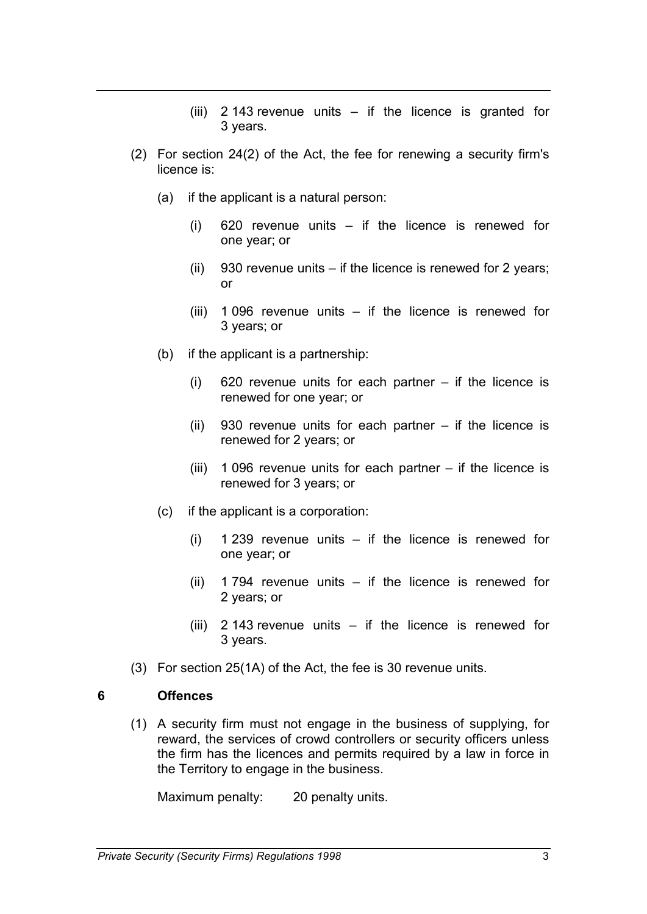- (iii)  $2\,143$  revenue units  $-$  if the licence is granted for 3 years.
- (2) For section 24(2) of the Act, the fee for renewing a security firm's licence is:
	- (a) if the applicant is a natural person:
		- (i) 620 revenue units if the licence is renewed for one year; or
		- (ii) 930 revenue units  $-$  if the licence is renewed for 2 years; or
		- (iii) 1 096 revenue units if the licence is renewed for 3 years; or
	- (b) if the applicant is a partnership:
		- (i) 620 revenue units for each partner if the licence is renewed for one year; or
		- $(ii)$  930 revenue units for each partner  $-$  if the licence is renewed for 2 years; or
		- (iii) 1 096 revenue units for each partner if the licence is renewed for 3 years; or
	- (c) if the applicant is a corporation:
		- (i) 1 239 revenue units if the licence is renewed for one year; or
		- $(ii)$  1 794 revenue units if the licence is renewed for 2 years; or
		- $(iii)$  2 143 revenue units  $-$  if the licence is renewed for 3 years.
- (3) For section 25(1A) of the Act, the fee is 30 revenue units.

### **6 Offences**

(1) A security firm must not engage in the business of supplying, for reward, the services of crowd controllers or security officers unless the firm has the licences and permits required by a law in force in the Territory to engage in the business.

Maximum penalty: 20 penalty units.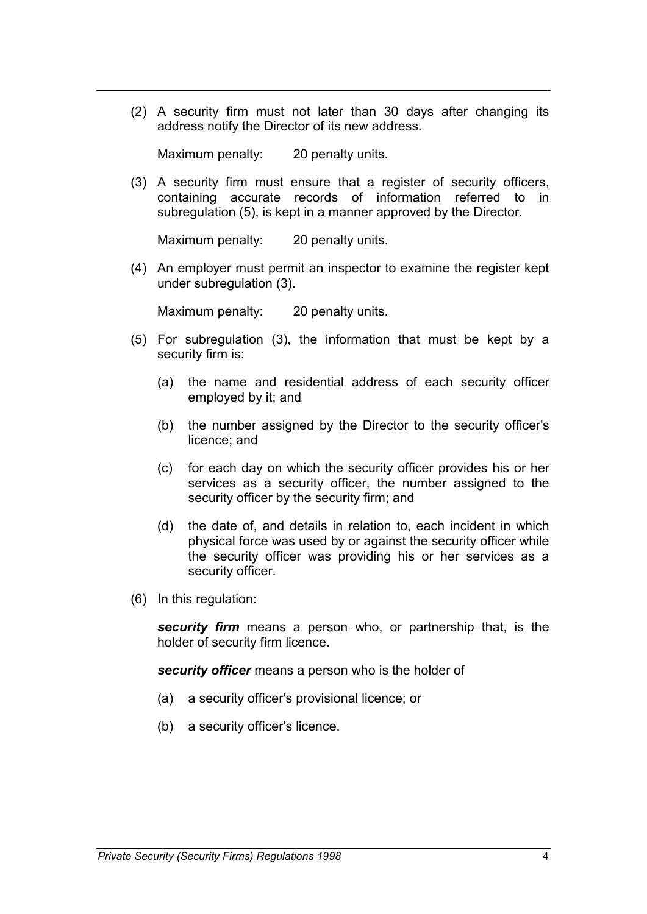(2) A security firm must not later than 30 days after changing its address notify the Director of its new address.

Maximum penalty: 20 penalty units.

(3) A security firm must ensure that a register of security officers, containing accurate records of information referred to in subregulation (5), is kept in a manner approved by the Director.

Maximum penalty: 20 penalty units.

(4) An employer must permit an inspector to examine the register kept under subregulation (3).

Maximum penalty: 20 penalty units.

- (5) For subregulation (3), the information that must be kept by a security firm is:
	- (a) the name and residential address of each security officer employed by it; and
	- (b) the number assigned by the Director to the security officer's licence; and
	- (c) for each day on which the security officer provides his or her services as a security officer, the number assigned to the security officer by the security firm; and
	- (d) the date of, and details in relation to, each incident in which physical force was used by or against the security officer while the security officer was providing his or her services as a security officer.
- (6) In this regulation:

*security firm* means a person who, or partnership that, is the holder of security firm licence.

*security officer* means a person who is the holder of

- (a) a security officer's provisional licence; or
- (b) a security officer's licence.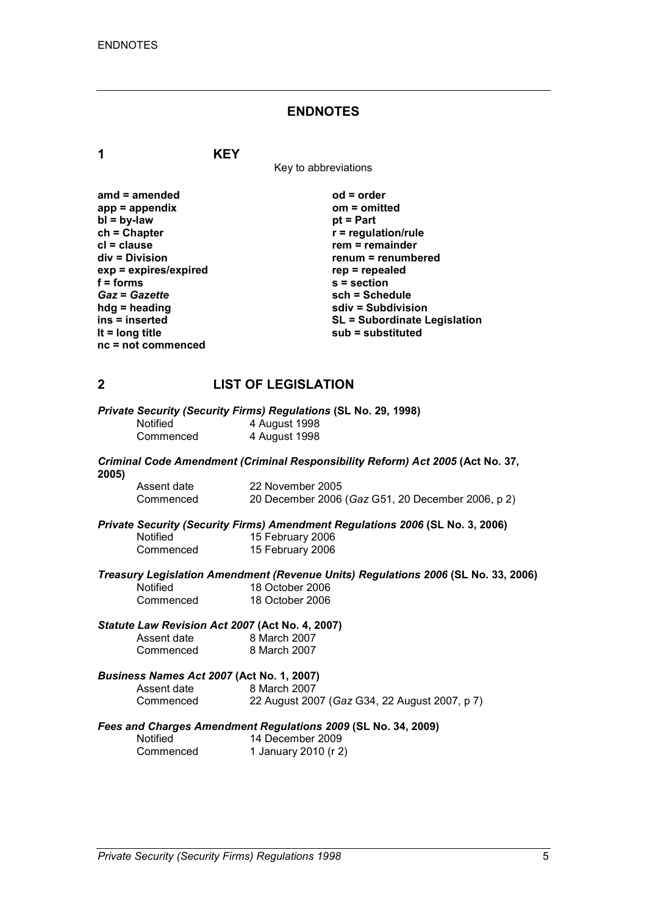#### **ENDNOTES**

**1 KEY**

Key to abbreviations

| $amd = amended$         | $od = order$                        |
|-------------------------|-------------------------------------|
| $app = appendix$        | om = omitted                        |
| $bl = by-law$           | $pt = Part$                         |
| $ch = Chapter$          | $r =$ regulation/rule               |
| $cl = clause$           | $rem = remainder$                   |
| div = Division          | renum = renumbered                  |
| $exp = expires/expired$ | $rep = repeated$                    |
| $f =$ forms             | $s =$ section                       |
| <b>Gaz = Gazette</b>    | sch = Schedule                      |
| $hdg =$ heading         | sdiv = Subdivision                  |
| ins = inserted          | <b>SL = Subordinate Legislation</b> |
| It = $long$ title       | sub = substituted                   |
| nc = not commenced      |                                     |

#### **2 LIST OF LEGISLATION**

*Private Security (Security Firms) Regulations* **(SL No. 29, 1998)** Notified 4 August 1998<br>Commenced 4 August 1998 4 August 1998

*Criminal Code Amendment (Criminal Responsibility Reform) Act 2005* **(Act No. 37, 2005)**

| Assent date | 22 November 2005                                  |
|-------------|---------------------------------------------------|
| Commenced   | 20 December 2006 (Gaz G51, 20 December 2006, p 2) |

*Private Security (Security Firms) Amendment Regulations 2006* **(SL No. 3, 2006)**

Notified 15 February 2006<br>Commenced 15 February 2006

15 February 2006

# *Treasury Legislation Amendment (Revenue Units) Regulations 2006* **(SL No. 33, 2006)**

| Notified  | 18 October 2006 |
|-----------|-----------------|
| Commenced | 18 October 2006 |

# *Statute Law Revision Act 2007* **(Act No. 4, 2007)**

| Assent date | 8 March 2007 |
|-------------|--------------|
| Commenced   | 8 March 2007 |

#### *Business Names Act 2007* **(Act No. 1, 2007)**

#### Assent date 8 March 2007<br>Commenced 22 August 200 22 August 2007 (*Gaz* G34, 22 August 2007, p 7)

# *Fees and Charges Amendment Regulations 2009* **(SL No. 34, 2009)**

Notified 14 December 2009<br>Commenced 1 January 2010 (r 2 1 January 2010 (r 2)